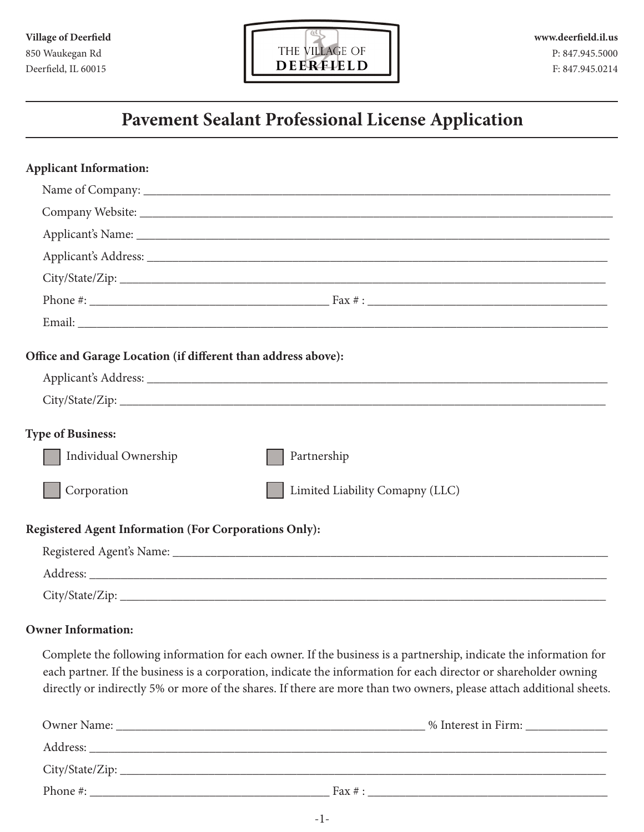

| <b>Applicant Information:</b>                                 |                                                                                                                |
|---------------------------------------------------------------|----------------------------------------------------------------------------------------------------------------|
|                                                               |                                                                                                                |
|                                                               |                                                                                                                |
|                                                               |                                                                                                                |
|                                                               |                                                                                                                |
|                                                               |                                                                                                                |
|                                                               |                                                                                                                |
|                                                               |                                                                                                                |
| Office and Garage Location (if different than address above): |                                                                                                                |
|                                                               |                                                                                                                |
|                                                               |                                                                                                                |
| <b>Type of Business:</b>                                      |                                                                                                                |
| Individual Ownership                                          | Partnership                                                                                                    |
| Corporation                                                   | Limited Liability Comapny (LLC)                                                                                |
| <b>Registered Agent Information (For Corporations Only):</b>  |                                                                                                                |
|                                                               | Registered Agent's Name: 1988 Manner 2008 and 2008 Manner 2008 Manner 2008 Manner 2008 Manner 2008 Manner 2008 |
|                                                               |                                                                                                                |
|                                                               |                                                                                                                |
|                                                               |                                                                                                                |

### **Owner Information:**

Complete the following information for each owner. If the business is a partnership, indicate the information for each partner. If the business is a corporation, indicate the information for each director or shareholder owning directly or indirectly 5% or more of the shares. If there are more than two owners, please attach additional sheets.

| Owner Name:<br><u> 1980 - Jan Barbara, manazarta bashkin da ya kuma a shekara 1980 a shekara 1980 a shekara 1980 a shekara 1980</u> |            | % Interest in Firm: |
|-------------------------------------------------------------------------------------------------------------------------------------|------------|---------------------|
| Address:                                                                                                                            |            |                     |
|                                                                                                                                     |            |                     |
| Phone #:                                                                                                                            | Fax $\#$ : |                     |
|                                                                                                                                     |            |                     |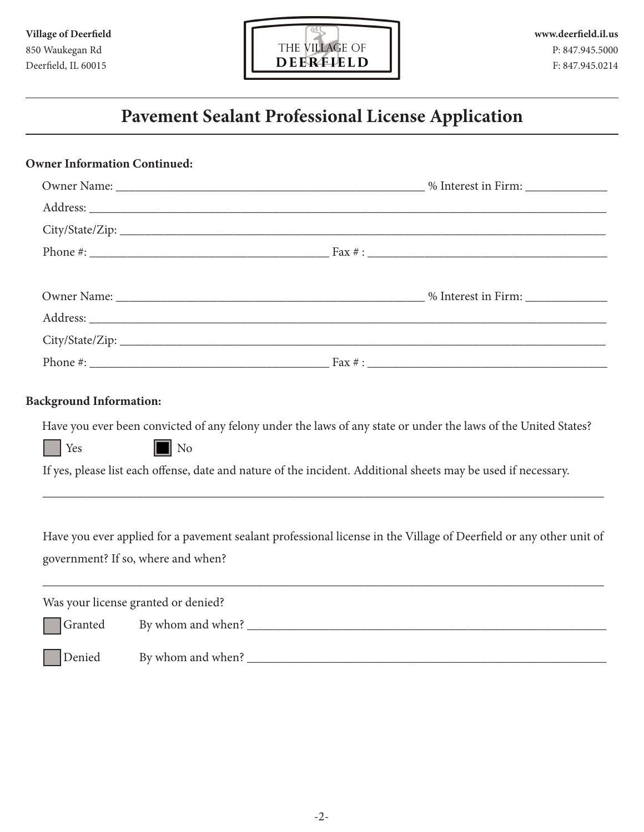

| <b>Owner Information Continued:</b>           |                                                                                                                                                                                                                                                       |  |  |  |
|-----------------------------------------------|-------------------------------------------------------------------------------------------------------------------------------------------------------------------------------------------------------------------------------------------------------|--|--|--|
|                                               |                                                                                                                                                                                                                                                       |  |  |  |
|                                               |                                                                                                                                                                                                                                                       |  |  |  |
|                                               |                                                                                                                                                                                                                                                       |  |  |  |
|                                               |                                                                                                                                                                                                                                                       |  |  |  |
|                                               |                                                                                                                                                                                                                                                       |  |  |  |
|                                               | Address: the contract of the contract of the contract of the contract of the contract of the contract of the contract of the contract of the contract of the contract of the contract of the contract of the contract of the c                        |  |  |  |
|                                               | City/State/Zip:                                                                                                                                                                                                                                       |  |  |  |
|                                               |                                                                                                                                                                                                                                                       |  |  |  |
| <b>Background Information:</b><br>$\vert$ Yes | Have you ever been convicted of any felony under the laws of any state or under the laws of the United States?<br>$\blacksquare$ No<br>If yes, please list each offense, date and nature of the incident. Additional sheets may be used if necessary. |  |  |  |
|                                               | Have you ever applied for a pavement sealant professional license in the Village of Deerfield or any other unit of<br>government? If so, where and when?                                                                                              |  |  |  |
|                                               | Was your license granted or denied?                                                                                                                                                                                                                   |  |  |  |
| Granted                                       |                                                                                                                                                                                                                                                       |  |  |  |
| Denied                                        |                                                                                                                                                                                                                                                       |  |  |  |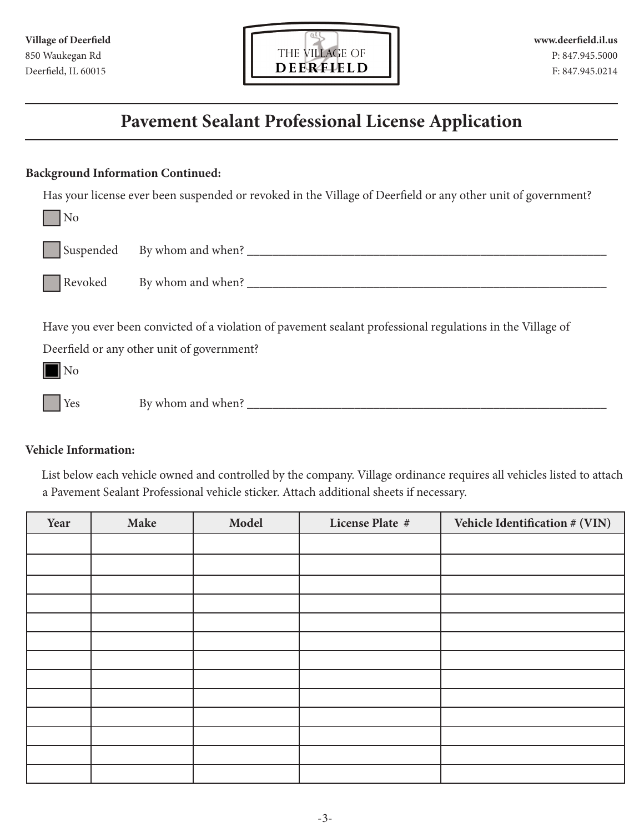

### **Background Information Continued:**

Has your license ever been suspended or revoked in the Village of Deerfield or any other unit of government?

| N <sub>0</sub>       |                                                                                                                                                                                                                                                                                                                   |
|----------------------|-------------------------------------------------------------------------------------------------------------------------------------------------------------------------------------------------------------------------------------------------------------------------------------------------------------------|
| Suspended            | By whom and when? $\frac{1}{2}$ $\frac{1}{2}$ $\frac{1}{2}$ $\frac{1}{2}$ $\frac{1}{2}$ $\frac{1}{2}$ $\frac{1}{2}$ $\frac{1}{2}$ $\frac{1}{2}$ $\frac{1}{2}$ $\frac{1}{2}$ $\frac{1}{2}$ $\frac{1}{2}$ $\frac{1}{2}$ $\frac{1}{2}$ $\frac{1}{2}$ $\frac{1}{2}$ $\frac{1}{2}$ $\frac{1}{2}$ $\frac{1}{2}$ $\frac$ |
| Revoked              | By whom and when? $\frac{1}{2}$ $\frac{1}{2}$ $\frac{1}{2}$ $\frac{1}{2}$ $\frac{1}{2}$ $\frac{1}{2}$ $\frac{1}{2}$ $\frac{1}{2}$ $\frac{1}{2}$ $\frac{1}{2}$ $\frac{1}{2}$ $\frac{1}{2}$ $\frac{1}{2}$ $\frac{1}{2}$ $\frac{1}{2}$ $\frac{1}{2}$ $\frac{1}{2}$ $\frac{1}{2}$ $\frac{1}{2}$ $\frac{1}{2}$ $\frac$ |
| $\overline{\rm N}$ o | Have you ever been convicted of a violation of pavement sealant professional regulations in the Village of<br>Deerfield or any other unit of government?                                                                                                                                                          |
| Yes                  | By whom and when?                                                                                                                                                                                                                                                                                                 |

### **Vehicle Information:**

List below each vehicle owned and controlled by the company. Village ordinance requires all vehicles listed to attach a Pavement Sealant Professional vehicle sticker. Attach additional sheets if necessary.

| Year | Make | Model | License Plate # | Vehicle Identification # (VIN) |
|------|------|-------|-----------------|--------------------------------|
|      |      |       |                 |                                |
|      |      |       |                 |                                |
|      |      |       |                 |                                |
|      |      |       |                 |                                |
|      |      |       |                 |                                |
|      |      |       |                 |                                |
|      |      |       |                 |                                |
|      |      |       |                 |                                |
|      |      |       |                 |                                |
|      |      |       |                 |                                |
|      |      |       |                 |                                |
|      |      |       |                 |                                |
|      |      |       |                 |                                |